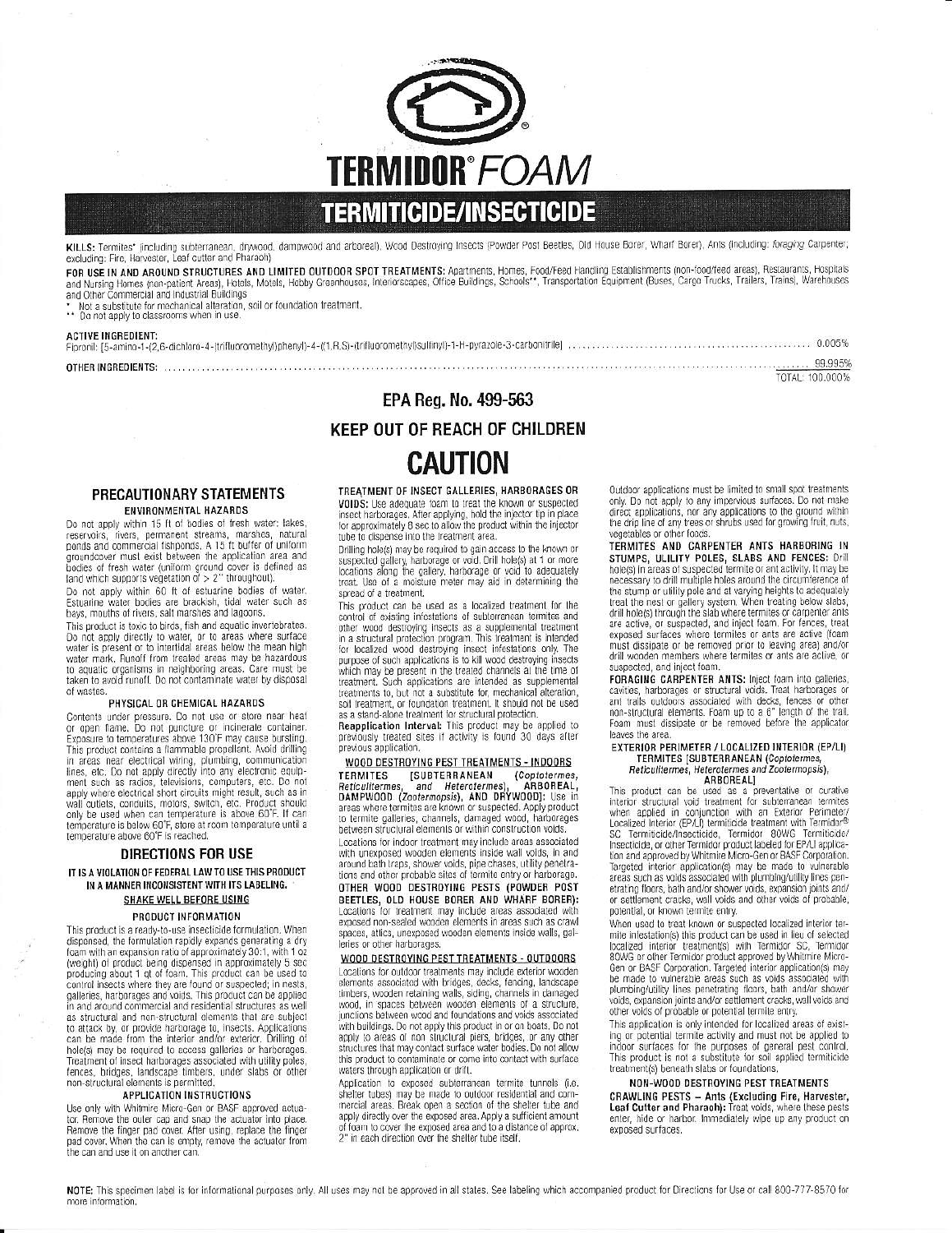

KILLS: Termites\* (including subterranean, drywood, dampwood and arboreal), Wood Destroying Insects (Powder Post Beetles, Old House Borer, Wharf Borer), Ants (including: foraging Carpenter,<br>excluding: Fire, Harvester, Leaf

FOR USE IN AND AROUND STRUCTURES AND LIMITED OUTDOOR SPOT TREATMENTS: Apartments, Homes, Food/Feed Handling Establishments (non-food/feed areas), Restaurants, Hospitals<br>and Nursing Home (non-patient Areas), Hotels, Motels,

#### **ACTIVE INCREDIENT**

| <b>THER INGREDIENTS:</b> The contract of the contract of the contract of the contract of the contract of the contract of the contract of the contract of the contract of the contract of the contract of the contract of the contra |  |
|-------------------------------------------------------------------------------------------------------------------------------------------------------------------------------------------------------------------------------------|--|

EPA Reg. No. 499-563

TOTAL: 100.000%

## **KEEP OUT OF REACH OF CHILDREN CAUTION**

## PRECAUTIONARY STATEMENTS **ENVIRONMENTAL HAZARDS**

Do not apply within 15 ft of bodies of fresh water: lakes Free reservoirs, rivers, permanent streams, marshes, natural<br>ponds and commercial fishponds. A 15 ft buffer of uniform<br>groundcover must exist between the application area and bodies of fresh water (uniform ground cover is defined as<br>land which supports vegetation of > 2" throughout).

Do not apply within 60 ft of estuarine bodies of water.<br>Estuarine water bodies are brackish, tidal water such as bays, mouths of rivers, salt marshes and lagoons.

This product is toxic to birds, fish and aquatic invertebrates. Do not apply directly to water, or to areas where surface<br>water is present or to intertidal areas below the mean high water mark. Runoff from treated areas may be hazardous to aquatic organisms in neighboring areas. Care must be taken to avoid runoff. Do not contaminate water by disposal of wastes

#### PHYSICAL OR CHEMICAL HAZARDS

Contents under pressure. Do not use or store near heat or open flame. Do not puncture or incinerate container.<br>Exposure to temperatures above 130°F may cause bursting.<br>This product contains a flammable propellant. Avoid drilling Fins product communication and annihalise properties, were distinguished in a reason electrical wiring, plumbing, communication lines, etc. Do not apply directly into any electronic equipment such as radios, televisions, c only be used when can temperature is above 60°F. If can temperature is below 60°F, store at room temperature until a temperature above 60°F is reached.

## **DIRECTIONS FOR USE**

IT IS A VIOLATION OF FEDERAL LAW TO USE THIS PRODUCT IN A MANNER INCONSISTENT WITH ITS LABELING. **SHAKE WELL BEFORE USING** 

## PRODUCT INFORMATION

This product is a ready-to-use insecticide formulation. When This procedure is ready-to-de-interesting a dry<br>dispensed, the formulation rapidly expands generating a dry<br>foam with an expansion ratio of approximately 30:1, with 1 oz<br>(weight) of product being dispensed in approximately compared paleries, harburges and voids. This product can be applied<br>in and around commercial and residential structures as well<br>as structural and non-structural elements that are subject to attack by, or provide harborage to, insects. Applications can be made from the interior and/or exterior. Drilling of hole(s) may be required to access galleries or harborages. Treatment of insect harborages associated with utility poles, fences, bridges, landscape timbers, under slabs or other non-structural elements is permitted.

#### **APPLICATION INSTRUCTIONS**

Use only with Whitmire Micro-Gen or BASF approved actuator. Remove the outer cap and snap the actuator into place. Remove the finger pad cover. After using, replace the finger<br>pad cover. When the can is empty, remove the actuator from the can and use it on another can

## TREATMENT OF INSECT GALLERIES, HARBORAGES OR VOIDS: Use adequate foam to treat the known or suspected **Solution** is a deequate beat the indicator the inversion is applying, hold the injector tip in place for approximately 8 sec to allow the product within the injector the tube to dispense into the treatment area.

Drilling hole(s) may be required to gain access to the known or Diming noisely may be required to yard access to the wholen<br>suspected gallery, harborage or void. Drill hole(s) at 1 or more<br>locations along the gallery, harborage or void to adequately<br>treat. Use of a moisture meter may a spread of a treatment.

This product can be used as a localized treatment for the control of existing infestations of subterranean termites and other wood destroying insects as a supplemental treatment<br>in a structural protection program, This treatment is intended for localized wood destroying insect infestations only. The purpose of such applications is to kill wood destroying insects which may be present in the treated channels at the time of treatment. Such applications are intended as supplemental<br>treatments to, but not a substitute for, mechanical alteration, soil treatment, or foundation treatment. It should not be used

as a stand-alone treatment for structural protection.<br> **Reapplication Interval:** This product may be applied to previously treated sites if activity is found 30 days after previous application.

WOOD DESTROYING PEST TREATMENTS - INDOORS **[SUBTERRANEAN** (Coptotermes, **TERMITES** Reticulitermes, and Heterotermes) ARBOREAL, nencomermes, and neterotermes), ARBOREAL,<br>DAMPWOOD (Zootermopsis), AND DRYWOOD]: Use in<br>areas where termites are known or suspected. Apply product to termite galleries, channels, damaged wood, harborages between structural elements or within construction voids. Locations for indoor treatment may include areas associated<br>with unexposed wooden elements inside wall voids, in and around bath traps, shower voids, pipe chases, utility penetrations and other probable sites of termite entry or harborage.<br> **OTHER WOOD DESTROYING PESTS (POWDER POST BEFTLES, OLD HOUSE BORER AND WHARF BORER):**<br>Locations for treatment may include areas associated with exposed non-sealed wooden elements in areas such as crawl spaces, attics, unexposed wooden elements inside walls, galleries or other harborages.

WOOD DESTROYING PEST TREATMENTS - OUTDOORS Locations for outdoor treatments may include exterior wooden elements associated with bridges, decks, fencing, landscape timbers, wooden retaining walls, siding, channels in damaged wood, in spaces between wooden elements of a structure, junctions between wood and foundations and voids associated<br>with buildings. Do not apply this product in or on boats, Do not<br>apply to areas of non-structural piers, bridges, or any other structures that may contact surface water bodies. Do not allow<br>this product to contaminate or come into contact with surface waters through application or drift.

Application to exposed subterranean termite tunnels (i.e. shelter tubes) may be made to outdoor residential and commercial areas. Break open a section of the shelter tube and apply directly over the exposed area. Apply a sufficient amount of foam to cover the exposed area and to a distance of approx. 2" in each direction over the shelter tube itself.

Outdoor applications must be limited to small spot treatments only. Do not apply to any impervious surfaces. Do not make direct applications, nor any applications to the ground within the drip line of any trees or shrubs used for growing fruit, ruts, vegetables or other foods

**TERMITES AND CARPENTER ANTS HARBORING IN STUMPS, ULILITY POLES, SLABS AND FENCES:** Drill hole(s) in areas of suspected termite or ant activity. It may be necessary to drill multiple holes around the circumference of recessary to uniminate measurements and any offering teleptists to adequately treat the nest or gallery system. When treating below slabs, drill holeles) through the slab where termites or carpenter antis and the differenc must dissipate or be removed prior to leaving area) and/or drill wooden members where termites or ants are active, or suspected, and inject foam.

FORAGING CARPENTER ANTS: Inject foam into galleries cavities, harborages or structural voids. Treat harborages or ant trails outdoors associated with decks, fences or other non-structural elements. Foam up to a 6" length of the trail. Foam must dissipate or be removed before the applicator leaves the area.

# EXTERIOR PERIMETER / LOCALIZED INTERIOR (EP/LI)<br>TERMITES (SUBTERRANEAN (Coptotermes,<br>Reticulitermes, Heterotermes and Zootermopsis),

Methodinentes, Netroleum Andreas and Zootenhopes),<br>This product can be used as a preventative or ourther<br>interior structural viol transfer and explicit with a fixed production<br>with an Exterior Perimeter/<br>Localized Interior SC Termiticide/Insecticide, Termidor 80WG Termiticide/Insecticide, or other Termidor product labeled for EP/LI application and approved by Whitmire Micro-Gen or BASF Corporation. Targeted interior application(s) may be made to wilnerable<br>areas such as voids associated with plumbing/utility lines penetrating floors, bath and/or shower voids, expansion joints and/ or settlement cracks, wall voids and other voids of probable, potential, or known termite entry.

When used to treat known or suspected localized interior termite infestation(s) this product can be used in lieu of selected localized interior treatment(s) with Termidor SC, Termidor<br>80WG or other Termidor product approved by Whitmire Micro-<br>Gen or BASF Corporation. Targeted interior application(s) may be made to vulnerable areas such as voids associated with plumbing/utility lines penetrating floors, bath and/or shower voids, expansion joints and/or settlement cracks, wall voids and other voids of probable or potential termite entry

This application is only intended for localized areas of existing or potential termite activity and must not be applied to<br>indoor surfaces for the purposes of general pest control.<br>This product is not a substitute for soil applied termiticide treatment(s) beneath slabs or foundations,

## NON-WOOD DESTROYING PEST TREATMENTS

**CRAWLING PESTS - Ants (Excluding Fire, Harvester, Leaf Cutter and Pharaoh):** Treat voids, where these pests enter, hide or harbor. Immediately wipe up any product on exposed surfaces.